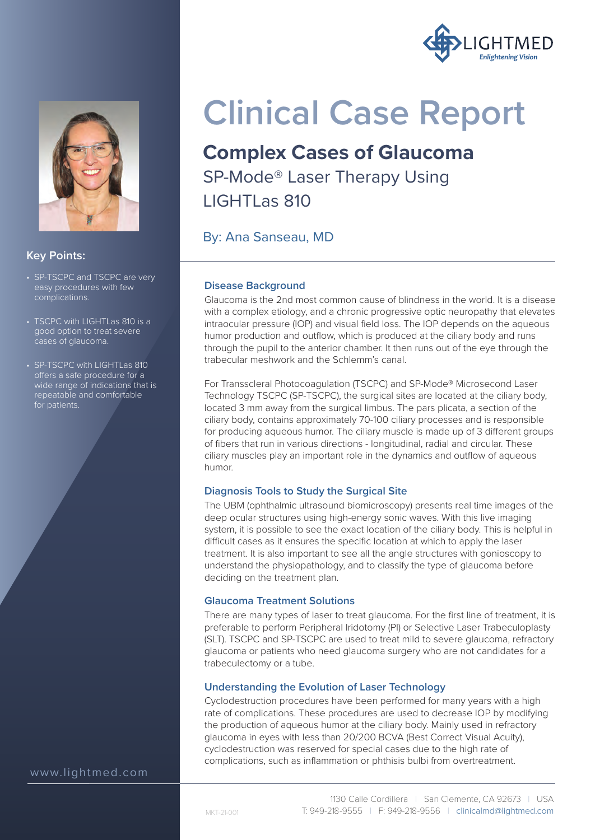



#### **Key Points:**

- SP-TSCPC and TSCPC are very easy procedures with few complications.
- TSCPC with LIGHTLas 810 is a good option to treat severe cases of glaucoma.
- SP-TSCPC with LIGHTLas 810 offers a safe procedure for a wide range of indications that is repeatable and comfortable for patients.

**Clinical Case Report**

### **Complex Cases of Glaucoma**

SP-Mode® Laser Therapy Using LIGHTLas 810

By: Ana Sanseau, MD

#### **Disease Background**

Glaucoma is the 2nd most common cause of blindness in the world. It is a disease with a complex etiology, and a chronic progressive optic neuropathy that elevates intraocular pressure (IOP) and visual field loss. The IOP depends on the aqueous humor production and outflow, which is produced at the ciliary body and runs through the pupil to the anterior chamber. It then runs out of the eye through the trabecular meshwork and the Schlemm's canal.

For Transscleral Photocoagulation (TSCPC) and SP-Mode® Microsecond Laser Technology TSCPC (SP-TSCPC), the surgical sites are located at the ciliary body, located 3 mm away from the surgical limbus. The pars plicata, a section of the ciliary body, contains approximately 70-100 ciliary processes and is responsible for producing aqueous humor. The ciliary muscle is made up of 3 different groups of fibers that run in various directions - longitudinal, radial and circular. These ciliary muscles play an important role in the dynamics and outflow of aqueous humor.

#### **Diagnosis Tools to Study the Surgical Site**

The UBM (ophthalmic ultrasound biomicroscopy) presents real time images of the deep ocular structures using high-energy sonic waves. With this live imaging system, it is possible to see the exact location of the ciliary body. This is helpful in difficult cases as it ensures the specific location at which to apply the laser treatment. It is also important to see all the angle structures with gonioscopy to understand the physiopathology, and to classify the type of glaucoma before deciding on the treatment plan.

#### **Glaucoma Treatment Solutions**

There are many types of laser to treat glaucoma. For the first line of treatment, it is preferable to perform Peripheral Iridotomy (PI) or Selective Laser Trabeculoplasty (SLT). TSCPC and SP-TSCPC are used to treat mild to severe glaucoma, refractory glaucoma or patients who need glaucoma surgery who are not candidates for a trabeculectomy or a tube.

#### **Understanding the Evolution of Laser Technology**

Cyclodestruction procedures have been performed for many years with a high rate of complications. These procedures are used to decrease IOP by modifying the production of aqueous humor at the ciliary body. Mainly used in refractory glaucoma in eyes with less than 20/200 BCVA (Best Correct Visual Acuity), cyclodestruction was reserved for special cases due to the high rate of complications, such as inflammation or phthisis bulbi from overtreatment.

www.lightmed.com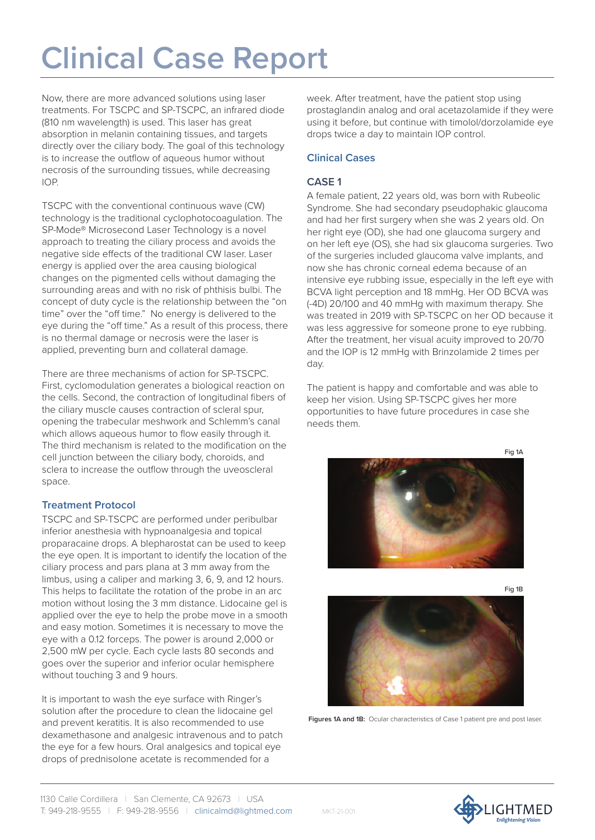# **Clinical Case Report**

Now, there are more advanced solutions using laser treatments. For TSCPC and SP-TSCPC, an infrared diode (810 nm wavelength) is used. This laser has great absorption in melanin containing tissues, and targets directly over the ciliary body. The goal of this technology is to increase the outflow of aqueous humor without necrosis of the surrounding tissues, while decreasing IOP.

TSCPC with the conventional continuous wave (CW) technology is the traditional cyclophotocoagulation. The SP-Mode® Microsecond Laser Technology is a novel approach to treating the ciliary process and avoids the negative side effects of the traditional CW laser. Laser energy is applied over the area causing biological changes on the pigmented cells without damaging the surrounding areas and with no risk of phthisis bulbi. The concept of duty cycle is the relationship between the "on time" over the "off time." No energy is delivered to the eye during the "off time." As a result of this process, there is no thermal damage or necrosis were the laser is applied, preventing burn and collateral damage.

There are three mechanisms of action for SP-TSCPC. First, cyclomodulation generates a biological reaction on the cells. Second, the contraction of longitudinal fibers of the ciliary muscle causes contraction of scleral spur, opening the trabecular meshwork and Schlemm's canal which allows aqueous humor to flow easily through it. The third mechanism is related to the modification on the cell junction between the ciliary body, choroids, and sclera to increase the outflow through the uveoscleral space.

#### **Treatment Protocol**

TSCPC and SP-TSCPC are performed under peribulbar inferior anesthesia with hypnoanalgesia and topical proparacaine drops. A blepharostat can be used to keep the eye open. It is important to identify the location of the ciliary process and pars plana at 3 mm away from the limbus, using a caliper and marking 3, 6, 9, and 12 hours. This helps to facilitate the rotation of the probe in an arc motion without losing the 3 mm distance. Lidocaine gel is applied over the eye to help the probe move in a smooth and easy motion. Sometimes it is necessary to move the eye with a 0.12 forceps. The power is around 2,000 or 2,500 mW per cycle. Each cycle lasts 80 seconds and goes over the superior and inferior ocular hemisphere without touching 3 and 9 hours.

It is important to wash the eye surface with Ringer's solution after the procedure to clean the lidocaine gel and prevent keratitis. It is also recommended to use dexamethasone and analgesic intravenous and to patch the eye for a few hours. Oral analgesics and topical eye drops of prednisolone acetate is recommended for a

week. After treatment, have the patient stop using prostaglandin analog and oral acetazolamide if they were using it before, but continue with timolol/dorzolamide eye drops twice a day to maintain IOP control.

#### **Clinical Cases**

#### **CASE 1**

A female patient, 22 years old, was born with Rubeolic Syndrome. She had secondary pseudophakic glaucoma and had her first surgery when she was 2 years old. On her right eye (OD), she had one glaucoma surgery and on her left eye (OS), she had six glaucoma surgeries. Two of the surgeries included glaucoma valve implants, and now she has chronic corneal edema because of an intensive eye rubbing issue, especially in the left eye with BCVA light perception and 18 mmHg. Her OD BCVA was (-4D) 20/100 and 40 mmHg with maximum therapy. She was treated in 2019 with SP-TSCPC on her OD because it was less aggressive for someone prone to eye rubbing. After the treatment, her visual acuity improved to 20/70 and the IOP is 12 mmHg with Brinzolamide 2 times per day.

The patient is happy and comfortable and was able to keep her vision. Using SP-TSCPC gives her more opportunities to have future procedures in case she needs them.





**Figures 1A and 1B:** Ocular characteristics of Case 1 patient pre and post laser.

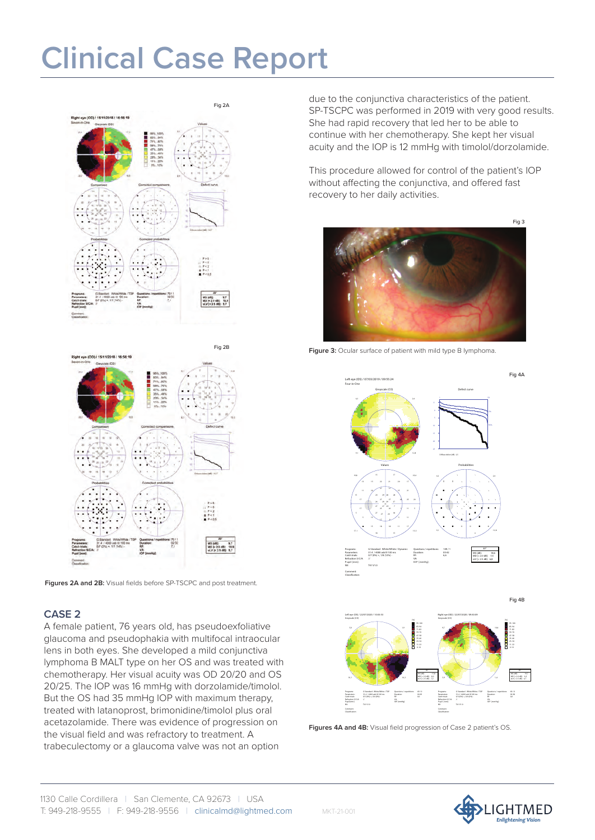### **Clinical Case Report**





**Figures 2A and 2B:** Visual fields before SP-TSCPC and post treatment.

#### **CASE 2**

A female patient, 76 years old, has pseudoexfoliative glaucoma and pseudophakia with multifocal intraocular lens in both eyes. She developed a mild conjunctiva lymphoma B MALT type on her OS and was treated with chemotherapy. Her visual acuity was OD 20/20 and OS 20/25. The IOP was 16 mmHg with dorzolamide/timolol. But the OS had 35 mmHg IOP with maximum therapy, treated with latanoprost, brimonidine/timolol plus oral acetazolamide. There was evidence of progression on the visual field and was refractory to treatment. A trabeculectomy or a glaucoma valve was not an option

due to the conjunctiva characteristics of the patient. SP-TSCPC was performed in 2019 with very good results. She had rapid recovery that led her to be able to continue with her chemotherapy. She kept her visual acuity and the IOP is 12 mmHg with timolol/dorzolamide.

This procedure allowed for control of the patient's IOP without affecting the conjunctiva, and offered fast recovery to her daily activities.



**Figure 3:** Ocular surface of patient with mild type B lymphoma.





Figures 4A and 4B: Visual field progression of Case 2 patient's OS.